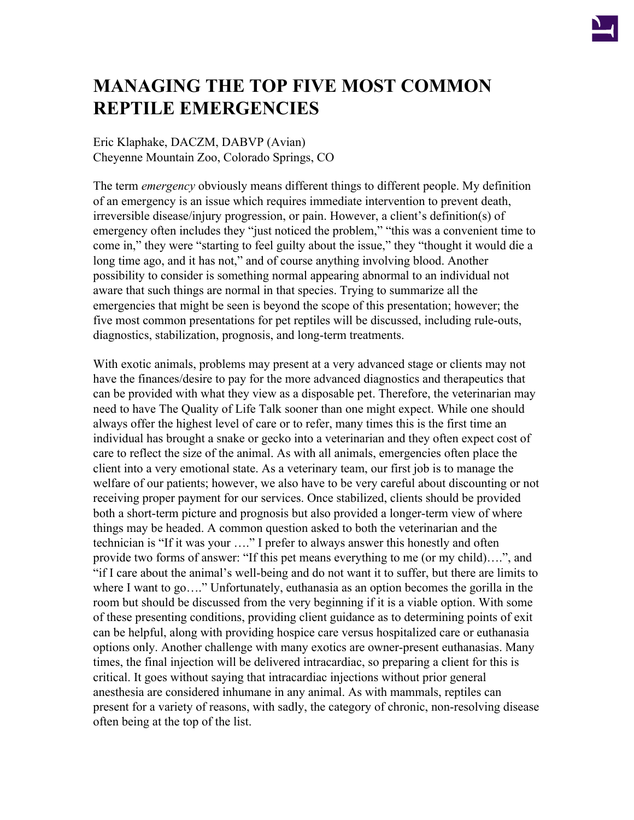

# **MANAGING THE TOP FIVE MOST COMMON REPTILE EMERGENCIES**

Eric Klaphake, DACZM, DABVP (Avian) Cheyenne Mountain Zoo, Colorado Springs, CO

The term *emergency* obviously means different things to different people. My definition of an emergency is an issue which requires immediate intervention to prevent death, irreversible disease/injury progression, or pain. However, a client's definition(s) of emergency often includes they "just noticed the problem," "this was a convenient time to come in," they were "starting to feel guilty about the issue," they "thought it would die a long time ago, and it has not," and of course anything involving blood. Another possibility to consider is something normal appearing abnormal to an individual not aware that such things are normal in that species. Trying to summarize all the emergencies that might be seen is beyond the scope of this presentation; however; the five most common presentations for pet reptiles will be discussed, including rule-outs, diagnostics, stabilization, prognosis, and long-term treatments.

With exotic animals, problems may present at a very advanced stage or clients may not have the finances/desire to pay for the more advanced diagnostics and therapeutics that can be provided with what they view as a disposable pet. Therefore, the veterinarian may need to have The Quality of Life Talk sooner than one might expect. While one should always offer the highest level of care or to refer, many times this is the first time an individual has brought a snake or gecko into a veterinarian and they often expect cost of care to reflect the size of the animal. As with all animals, emergencies often place the client into a very emotional state. As a veterinary team, our first job is to manage the welfare of our patients; however, we also have to be very careful about discounting or not receiving proper payment for our services. Once stabilized, clients should be provided both a short-term picture and prognosis but also provided a longer-term view of where things may be headed. A common question asked to both the veterinarian and the technician is "If it was your …." I prefer to always answer this honestly and often provide two forms of answer: "If this pet means everything to me (or my child)….", and "if I care about the animal's well-being and do not want it to suffer, but there are limits to where I want to go...." Unfortunately, euthanasia as an option becomes the gorilla in the room but should be discussed from the very beginning if it is a viable option. With some of these presenting conditions, providing client guidance as to determining points of exit can be helpful, along with providing hospice care versus hospitalized care or euthanasia options only. Another challenge with many exotics are owner-present euthanasias. Many times, the final injection will be delivered intracardiac, so preparing a client for this is critical. It goes without saying that intracardiac injections without prior general anesthesia are considered inhumane in any animal. As with mammals, reptiles can present for a variety of reasons, with sadly, the category of chronic, non-resolving disease often being at the top of the list.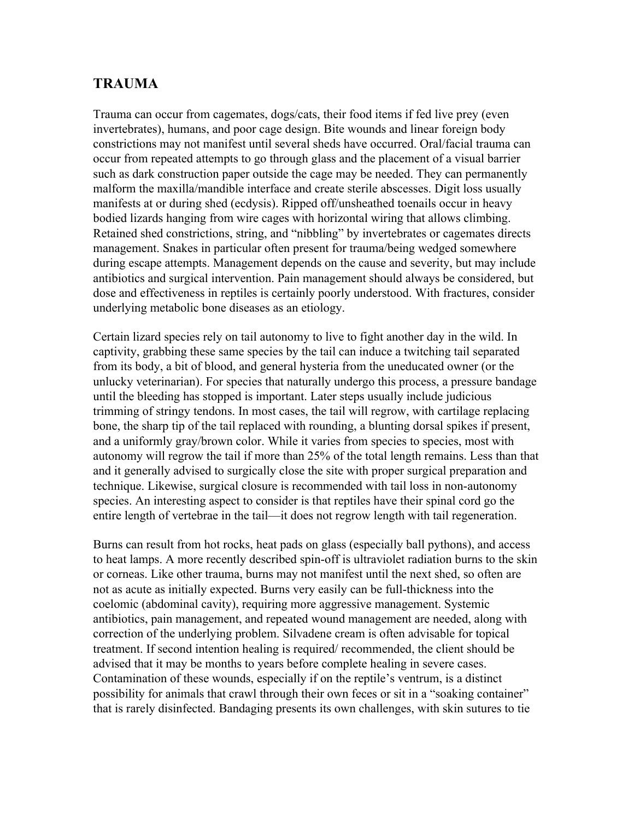#### **TRAUMA**

Trauma can occur from cagemates, dogs/cats, their food items if fed live prey (even invertebrates), humans, and poor cage design. Bite wounds and linear foreign body constrictions may not manifest until several sheds have occurred. Oral/facial trauma can occur from repeated attempts to go through glass and the placement of a visual barrier such as dark construction paper outside the cage may be needed. They can permanently malform the maxilla/mandible interface and create sterile abscesses. Digit loss usually manifests at or during shed (ecdysis). Ripped off/unsheathed toenails occur in heavy bodied lizards hanging from wire cages with horizontal wiring that allows climbing. Retained shed constrictions, string, and "nibbling" by invertebrates or cagemates directs management. Snakes in particular often present for trauma/being wedged somewhere during escape attempts. Management depends on the cause and severity, but may include antibiotics and surgical intervention. Pain management should always be considered, but dose and effectiveness in reptiles is certainly poorly understood. With fractures, consider underlying metabolic bone diseases as an etiology.

Certain lizard species rely on tail autonomy to live to fight another day in the wild. In captivity, grabbing these same species by the tail can induce a twitching tail separated from its body, a bit of blood, and general hysteria from the uneducated owner (or the unlucky veterinarian). For species that naturally undergo this process, a pressure bandage until the bleeding has stopped is important. Later steps usually include judicious trimming of stringy tendons. In most cases, the tail will regrow, with cartilage replacing bone, the sharp tip of the tail replaced with rounding, a blunting dorsal spikes if present, and a uniformly gray/brown color. While it varies from species to species, most with autonomy will regrow the tail if more than 25% of the total length remains. Less than that and it generally advised to surgically close the site with proper surgical preparation and technique. Likewise, surgical closure is recommended with tail loss in non-autonomy species. An interesting aspect to consider is that reptiles have their spinal cord go the entire length of vertebrae in the tail—it does not regrow length with tail regeneration.

Burns can result from hot rocks, heat pads on glass (especially ball pythons), and access to heat lamps. A more recently described spin-off is ultraviolet radiation burns to the skin or corneas. Like other trauma, burns may not manifest until the next shed, so often are not as acute as initially expected. Burns very easily can be full-thickness into the coelomic (abdominal cavity), requiring more aggressive management. Systemic antibiotics, pain management, and repeated wound management are needed, along with correction of the underlying problem. Silvadene cream is often advisable for topical treatment. If second intention healing is required/ recommended, the client should be advised that it may be months to years before complete healing in severe cases. Contamination of these wounds, especially if on the reptile's ventrum, is a distinct possibility for animals that crawl through their own feces or sit in a "soaking container" that is rarely disinfected. Bandaging presents its own challenges, with skin sutures to tie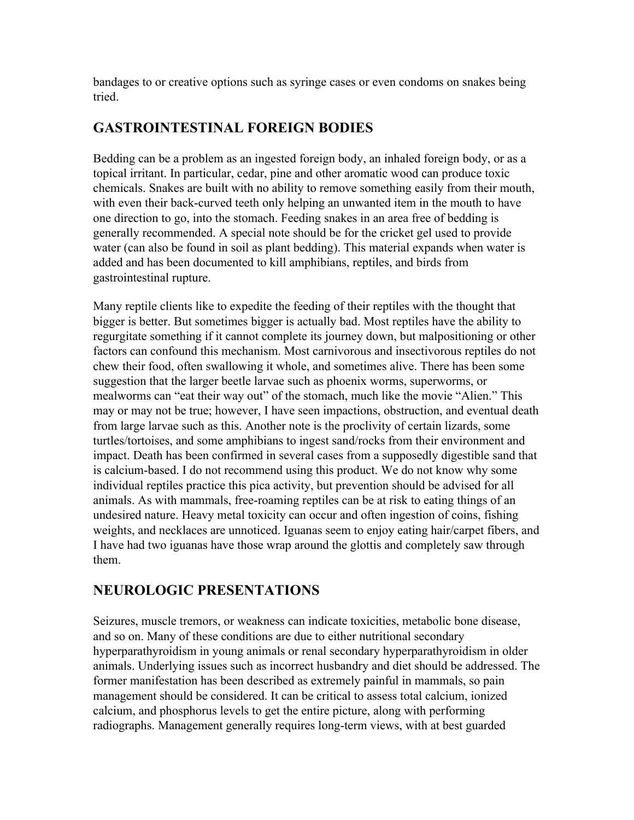bandages to or creative options such as syringe cases or even condoms on snakes being tried.

#### **GASTROINTESTINAL FOREIGN BODIES**

Bedding can be a problem as an ingested foreign body, an inhaled foreign body, or as a topical irritant. In particular, cedar, pine and other aromatic wood can produce toxic chemicals. Snakes are built with no ability to remove something easily from their mouth, with even their back-curved teeth only helping an unwanted item in the mouth to have one direction to go, into the stomach. Feeding snakes in an area free of bedding is generally recommended. A special note should be for the cricket gel used to provide water (can also be found in soil as plant bedding). This material expands when water is added and has been documented to kill amphibians, reptiles, and birds from gastrointestinal rupture.

Many reptile clients like to expedite the feeding of their reptiles with the thought that bigger is better. But sometimes bigger is actually bad. Most reptiles have the ability to regurgitate something if it cannot complete its journey down, but malpositioning or other factors can confound this mechanism. Most carnivorous and insectivorous reptiles do not chew their food, often swallowing it whole, and sometimes alive. There has been some suggestion that the larger beetle larvae such as phoenix worms, superworms, or mealworms can "eat their way out" of the stomach, much like the movie "Alien." This may or may not be true; however, I have seen impactions, obstruction, and eventual death from large larvae such as this. Another note is the proclivity of certain lizards, some turtles/tortoises, and some amphibians to ingest sand/rocks from their environment and impact. Death has been confirmed in several cases from a supposedly digestible sand that is calcium-based. I do not recommend using this product. We do not know why some individual reptiles practice this pica activity, but prevention should be advised for all animals. As with mammals, free-roaming reptiles can be at risk to eating things of an undesired nature. Heavy metal toxicity can occur and often ingestion of coins, fishing weights, and necklaces are unnoticed. Iguanas seem to enjoy eating hair/carpet fibers, and I have had two iguanas have those wrap around the glottis and completely saw through them.

## **NEUROLOGIC PRESENTATIONS**

Seizures, muscle tremors, or weakness can indicate toxicities, metabolic bone disease, and so on. Many of these conditions are due to either nutritional secondary hyperparathyroidism in young animals or renal secondary hyperparathyroidism in older animals. Underlying issues such as incorrect husbandry and diet should be addressed. The former manifestation has been described as extremely painful in mammals, so pain management should be considered. It can be critical to assess total calcium, ionized calcium, and phosphorus levels to get the entire picture, along with performing radiographs. Management generally requires long-term views, with at best guarded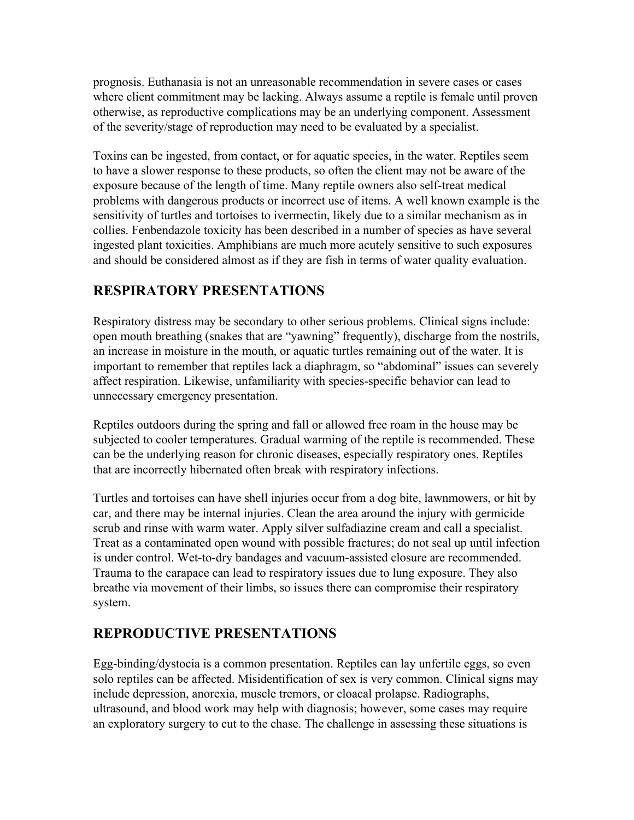prognosis. Euthanasia is not an unreasonable recommendation in severe cases or cases where client commitment may be lacking. Always assume a reptile is female until proven otherwise, as reproductive complications may be an underlying component. Assessment of the severity/stage of reproduction may need to be evaluated by a specialist.

Toxins can be ingested, from contact, or for aquatic species, in the water. Reptiles seem to have a slower response to these products, so often the client may not be aware of the exposure because of the length of time. Many reptile owners also self-treat medical problems with dangerous products or incorrect use of items. A well known example is the sensitivity of turtles and tortoises to ivermectin, likely due to a similar mechanism as in collies. Fenbendazole toxicity has been described in a number of species as have several ingested plant toxicities. Amphibians are much more acutely sensitive to such exposures and should be considered almost as if they are fish in terms of water quality evaluation.

## **RESPIRATORY PRESENTATIONS**

Respiratory distress may be secondary to other serious problems. Clinical signs include: open mouth breathing (snakes that are "yawning" frequently), discharge from the nostrils, an increase in moisture in the mouth, or aquatic turtles remaining out of the water. It is important to remember that reptiles lack a diaphragm, so "abdominal" issues can severely affect respiration. Likewise, unfamiliarity with species-specific behavior can lead to unnecessary emergency presentation.

Reptiles outdoors during the spring and fall or allowed free roam in the house may be subjected to cooler temperatures. Gradual warming of the reptile is recommended. These can be the underlying reason for chronic diseases, especially respiratory ones. Reptiles that are incorrectly hibernated often break with respiratory infections.

Turtles and tortoises can have shell injuries occur from a dog bite, lawnmowers, or hit by car, and there may be internal injuries. Clean the area around the injury with germicide scrub and rinse with warm water. Apply silver sulfadiazine cream and call a specialist. Treat as a contaminated open wound with possible fractures; do not seal up until infection is under control. Wet-to-dry bandages and vacuum-assisted closure are recommended. Trauma to the carapace can lead to respiratory issues due to lung exposure. They also breathe via movement of their limbs, so issues there can compromise their respiratory system.

## **REPRODUCTIVE PRESENTATIONS**

Egg-binding/dystocia is a common presentation. Reptiles can lay unfertile eggs, so even solo reptiles can be affected. Misidentification of sex is very common. Clinical signs may include depression, anorexia, muscle tremors, or cloacal prolapse. Radiographs, ultrasound, and blood work may help with diagnosis; however, some cases may require an exploratory surgery to cut to the chase. The challenge in assessing these situations is